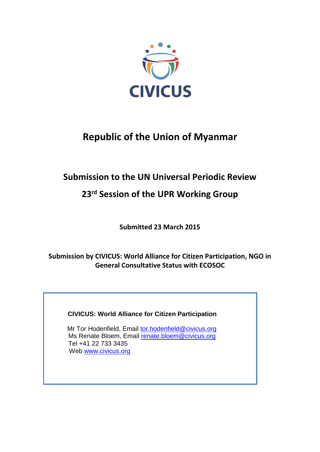

# **Republic of the Union of Myanmar**

# **Submission to the UN Universal Periodic Review**

# **23 rd Session of the UPR Working Group**

**Submitted 23 March 2015**

**Submission by CIVICUS: World Alliance for Citizen Participation, NGO in General Consultative Status with ECOSOC**

# **CIVICUS: World Alliance for Citizen Participation**

Mr Tor Hodenfield, Email [tor.hodenfield@civicus.org](mailto:tor.hodenfield@civicus.org) Ms Renate Bloem, Email [renate.bloem@civicus.org](mailto:renate.bloem@civicus.org) Tel +41 22 733 3435 Web [www.civicus.org](http://www.civicus.org/)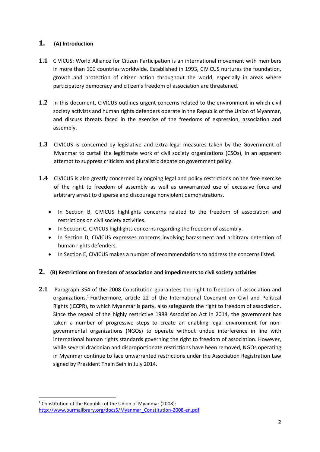# **1. (A) Introduction**

- **1.1** CIVICUS: World Alliance for Citizen Participation is an international movement with members in more than 100 countries worldwide. Established in 1993, CIVICUS nurtures the foundation, growth and protection of citizen action throughout the world, especially in areas where participatory democracy and citizen's freedom of association are threatened.
- **1.2** In this document, CIVICUS outlines urgent concerns related to the environment in which civil society activists and human rights defenders operate in the Republic of the Union of Myanmar, and discuss threats faced in the exercise of the freedoms of expression, association and assembly.
- **1.3** CIVICUS is concerned by legislative and extra-legal measures taken by the Government of Myanmar to curtail the legitimate work of civil society organizations (CSOs), in an apparent attempt to suppress criticism and pluralistic debate on government policy.
- **1.4** CIVICUS is also greatly concerned by ongoing legal and policy restrictions on the free exercise of the right to freedom of assembly as well as unwarranted use of excessive force and arbitrary arrest to disperse and discourage nonviolent demonstrations.
	- In Section B, CIVICUS highlights concerns related to the freedom of association and restrictions on civil society activities.
	- In Section C, CIVICUS highlights concerns regarding the freedom of assembly.
	- In Section D, CIVICUS expresses concerns involving harassment and arbitrary detention of human rights defenders.
	- In Section E, CIVICUS makes a number of recommendations to address the concerns listed.

## **2. (B) Restrictions on freedom of association and impediments to civil society activities**

**2.1** Paragraph 354 of the 2008 Constitution guarantees the right to freedom of association and organizations.<sup>1</sup> Furthermore, article 22 of the International Covenant on Civil and Political Rights (ICCPR), to which Myanmar is party, also safeguards the right to freedom of association. Since the repeal of the highly restrictive 1988 Association Act in 2014, the government has taken a number of progressive steps to create an enabling legal environment for nongovernmental organizations (NGOs) to operate without undue interference in line with international human rights standards governing the right to freedom of association. However, while several draconian and disproportionate restrictions have been removed, NGOs operating in Myanmar continue to face unwarranted restrictions under the Association Registration Law signed by President Thein Sein in July 2014.

**<sup>.</sup>** <sup>1</sup> Constitution of the Republic of the Union of Myanmar (2008): [http://www.burmalibrary.org/docs5/Myanmar\\_Constitution-2008-en.pdf](http://www.burmalibrary.org/docs5/Myanmar_Constitution-2008-en.pdf)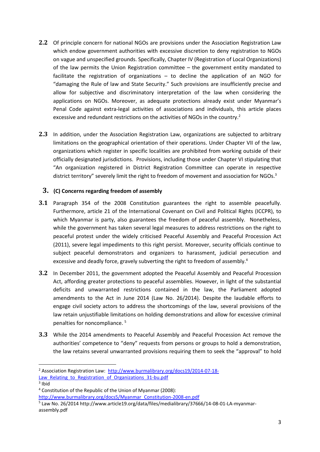- **2.2** Of principle concern for national NGOs are provisions under the Association Registration Law which endow government authorities with excessive discretion to deny registration to NGOs on vague and unspecified grounds. Specifically, Chapter IV (Registration of Local Organizations) of the law permits the Union Registration committee – the government entity mandated to facilitate the registration of organizations  $-$  to decline the application of an NGO for "damaging the Rule of law and State Security." Such provisions are insufficiently precise and allow for subjective and discriminatory interpretation of the law when considering the applications on NGOs. Moreover, as adequate protections already exist under Myanmar's Penal Code against extra-legal activities of associations and individuals, this article places excessive and redundant restrictions on the activities of NGOs in the country.<sup>2</sup>
- **2.3** In addition, under the Association Registration Law, organizations are subjected to arbitrary limitations on the geographical orientation of their operations. Under Chapter VII of the law, organizations which register in specific localities are prohibited from working outside of their officially designated jurisdictions. Provisions, including those under Chapter VI stipulating that "An organization registered in District Registration Committee can operate in respective district territory" severely limit the right to freedom of movement and association for NGOs.<sup>3</sup>

### **3. (C) Concerns regarding freedom of assembly**

- **3.1** Paragraph 354 of the 2008 Constitution guarantees the right to assemble peacefully. Furthermore, article 21 of the International Covenant on Civil and Political Rights (ICCPR), to which Myanmar is party, also guarantees the freedom of peaceful assembly. Nonetheless, while the government has taken several legal measures to address restrictions on the right to peaceful protest under the widely criticised Peaceful Assembly and Peaceful Procession Act (2011), severe legal impediments to this right persist. Moreover, security officials continue to subject peaceful demonstrators and organizers to harassment, judicial persecution and excessive and deadly force, gravely subverting the right to freedom of assembly.<sup>4</sup>
- **3.2** In December 2011, the government adopted the Peaceful Assembly and Peaceful Procession Act, affording greater protections to peaceful assemblies. However, in light of the substantial deficits and unwarranted restrictions contained in the law, the Parliament adopted amendments to the Act in June 2014 (Law No. 26/2014). Despite the laudable efforts to engage civil society actors to address the shortcomings of the law, several provisions of the law retain unjustifiable limitations on holding demonstrations and allow for excessive criminal penalties for noncompliance. <sup>5</sup>
- **3.3** While the 2014 amendments to Peaceful Assembly and Peaceful Procession Act remove the authorities' competence to "deny" requests from persons or groups to hold a demonstration, the law retains several unwarranted provisions requiring them to seek the "approval" to hold

 $\overline{\phantom{a}}$ <sup>2</sup> Association Registration Law: [http://www.burmalibrary.org/docs19/2014-07-18-](http://www.burmalibrary.org/docs19/2014-07-18-Law_Relating_to_Registration_of_Organizations_31-bu.pdf)

Law Relating to Registration of Organizations 31-bu.pdf

<sup>&</sup>lt;sup>3</sup> Ibid

<sup>4</sup> Constitution of the Republic of the Union of Myanmar (2008):

[http://www.burmalibrary.org/docs5/Myanmar\\_Constitution-2008-en.pdf](http://www.burmalibrary.org/docs5/Myanmar_Constitution-2008-en.pdf)

<sup>&</sup>lt;sup>5</sup> Law No. 26/2014 http://www.article19.org/data/files/medialibrary/37666/14-08-01-LA-myanmarassembly.pdf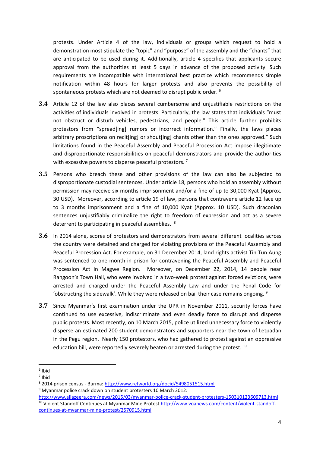protests. Under Article 4 of the law, individuals or groups which request to hold a demonstration most stipulate the "topic" and "purpose" of the assembly and the "chants" that are anticipated to be used during it. Additionally, article 4 specifies that applicants secure approval from the authorities at least 5 days in advance of the proposed activity. Such requirements are incompatible with international best practice which recommends simple notification within 48 hours for larger protests and also prevents the possibility of spontaneous protests which are not deemed to disrupt public order. <sup>6</sup>

- **3.4** Article 12 of the law also places several cumbersome and unjustifiable restrictions on the activities of individuals involved in protests. Particularly, the law states that individuals "must not obstruct or disturb vehicles, pedestrians, and people." This article further prohibits protestors from "spread[ing] rumors or incorrect information." Finally, the laws places arbitrary proscriptions on recit[ing] or shout[ing] chants other than the ones approved." Such limitations found in the Peaceful Assembly and Peaceful Procession Act impose illegitimate and disproportionate responsibilities on peaceful demonstrators and provide the authorities with excessive powers to disperse peaceful protestors.<sup>7</sup>
- **3.5** Persons who breach these and other provisions of the law can also be subjected to disproportionate custodial sentences. Under article 18, persons who hold an assembly without permission may receive six months imprisonment and/or a fine of up to 30,000 Kyat (Approx. 30 USD). Moreover, according to article 19 of law, persons that contravene article 12 face up to 3 months imprisonment and a fine of 10,000 Kyat (Approx. 10 USD). Such draconian sentences unjustifiably criminalize the right to freedom of expression and act as a severe deterrent to participating in peaceful assemblies. <sup>8</sup>
- **3.6** In 2014 alone, scores of protestors and demonstrators from several different localities across the country were detained and charged for violating provisions of the Peaceful Assembly and Peaceful Procession Act. For example, on 31 December 2014, land rights activist Tin Tun Aung was sentenced to one month in prison for contravening the Peaceful Assembly and Peaceful Procession Act in Magwe Region. Moreover, on December 22, 2014, 14 people near Rangoon's Town Hall, who were involved in a two-week protest against forced evictions, were arrested and charged under the Peaceful Assembly Law and under the Penal Code for 'obstructing the sidewalk'. While they were released on bail their case remains ongoing.  $9$
- **3.7** Since Myanmar's first examination under the UPR in November 2011, security forces have continued to use excessive, indiscriminate and even deadly force to disrupt and disperse public protests. Most recently, on 10 March 2015, police utilized unnecessary force to violently disperse an estimated 200 student demonstrators and supporters near the town of Letpadan in the Pegu region. Nearly 150 protestors, who had gathered to protest against an oppressive education bill, were reportedly severely beaten or arrested during the protest.  $^{10}$

 $\overline{\phantom{a}}$ 

<sup>6</sup> Ibid

<sup>7</sup> Ibid

<sup>8</sup> 2014 prison census - Burma:<http://www.refworld.org/docid/5498051515.html>

<sup>9</sup> Myanmar police crack down on student protesters 10 March 2012:

<http://www.aljazeera.com/news/2015/03/myanmar-police-crack-student-protesters-150310123609713.html> <sup>10</sup> Violent Standoff Continues at Myanmar Mine Protest [http://www.voanews.com/content/violent-standoff](http://www.voanews.com/content/violent-standoff-continues-at-myanmar-mine-protest/2570915.html)[continues-at-myanmar-mine-protest/2570915.html](http://www.voanews.com/content/violent-standoff-continues-at-myanmar-mine-protest/2570915.html)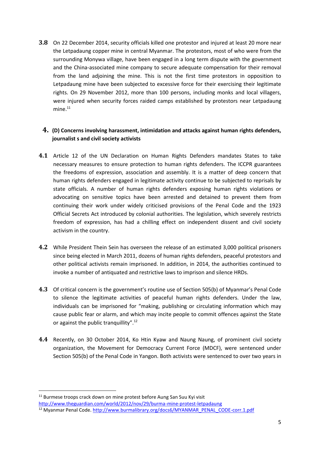**3.8** On 22 December 2014, security officials killed one protestor and injured at least 20 more near the Letpadaung copper mine in central Myanmar. The protestors, most of who were from the surrounding Monywa village, have been engaged in a long term dispute with the government and the China-associated mine company to secure adequate compensation for their removal from the land adjoining the mine. This is not the first time protestors in opposition to Letpadaung mine have been subjected to excessive force for their exercising their legitimate rights. On 29 November 2012, more than 100 persons, including monks and local villagers, were injured when security forces raided camps established by protestors near Letpadaung  $mine<sup>11</sup>$ 

# **4. (D) Concerns involving harassment, intimidation and attacks against human rights defenders, journalist s and civil society activists**

- **4.1** Article 12 of the UN Declaration on Human Rights Defenders mandates States to take necessary measures to ensure protection to human rights defenders. The ICCPR guarantees the freedoms of expression, association and assembly. It is a matter of deep concern that human rights defenders engaged in legitimate activity continue to be subjected to reprisals by state officials. A number of human rights defenders exposing human rights violations or advocating on sensitive topics have been arrested and detained to prevent them from continuing their work under widely criticised provisions of the Penal Code and the 1923 Official Secrets Act introduced by colonial authorities. The legislation, which severely restricts freedom of expression, has had a chilling effect on independent dissent and civil society activism in the country.
- **4.2** While President Thein Sein has overseen the release of an estimated 3,000 political prisoners since being elected in March 2011, dozens of human rights defenders, peaceful protestors and other political activists remain imprisoned. In addition, in 2014, the authorities continued to invoke a number of antiquated and restrictive laws to imprison and silence HRDs.
- **4.3** Of critical concern is the government's routine use of Section 505(b) of Myanmar's Penal Code to silence the legitimate activities of peaceful human rights defenders. Under the law, individuals can be imprisoned for "making, publishing or circulating information which may cause public fear or alarm, and which may incite people to commit offences against the State or against the public tranquillity".<sup>12</sup>
- **4.4** Recently, on 30 October 2014, Ko Htin Kyaw and Naung Naung, of prominent civil society organization, the Movement for Democracy Current Force (MDCF), were sentenced under Section 505(b) of the Penal Code in Yangon. Both activists were sentenced to over two years in

**.** 

<http://www.theguardian.com/world/2012/nov/29/burma-mine-protest-letpadaung>

<sup>&</sup>lt;sup>11</sup> Burmese troops crack down on mine protest before Aung San Suu Kyi visit

<sup>12</sup> Myanmar Penal Code. [http://www.burmalibrary.org/docs6/MYANMAR\\_PENAL\\_CODE-corr.1.pdf](http://www.burmalibrary.org/docs6/MYANMAR_PENAL_CODE-corr.1.pdf)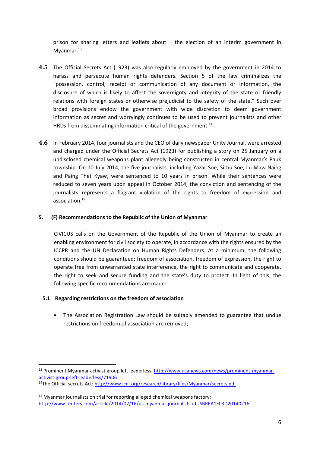prison for sharing letters and leaflets about the election of an interim government in Myanmar.<sup>13</sup>

- **4.5** The Official Secrets Act (1923) was also regularly employed by the government in 2014 to harass and persecute human rights defenders. Section 5 of the law criminalizes the "possession, control, receipt or communication of any document or information, the disclosure of which is likely to affect the sovereignty and integrity of the state or friendly relations with foreign states or otherwise prejudicial to the safety of the state." Such over broad provisions endow the government with wide discretion to deem government information as secret and worryingly continues to be used to prevent journalists and other HRDs from disseminating information critical of the government.<sup>14</sup>
- **4.6** In February 2014, four journalists and the CEO of daily newspaper Unity Journal, were arrested and charged under the Official Secrets Act (1923) for publishing a story on 25 January on a undisclosed chemical weapons plant allegedly being constructed in central Myanmar's Pauk township. On 10 July 2014, the five journalists, including Yazar Soe, Sithu Soe, Lu Maw Naing and Paing Thet Kyaw, were sentenced to 10 years in prison. While their sentences were reduced to seven years upon appeal in October 2014, the conviction and sentencing of the journalists represents a flagrant violation of the rights to freedom of expression and association.<sup>15</sup>

#### **5. (F) Recommendations to the Republic of the Union of Myanmar**

CIVICUS calls on the Government of the Republic of the Union of Myanmar to create an enabling environment for civil society to operate, in accordance with the rights ensured by the ICCPR and the UN Declaration on Human Rights Defenders. At a minimum, the following conditions should be guaranteed: freedom of association, freedom of expression, the right to operate free from unwarranted state interference, the right to communicate and cooperate, the right to seek and secure funding and the state's duty to protect. In light of this, the following specific recommendations are made:

#### **5.1 Regarding restrictions on the freedom of association**

 $\overline{\phantom{a}}$ 

 The Association Registration Law should be suitably amended to guarantee that undue restrictions on freedom of association are removed;

<sup>&</sup>lt;sup>13</sup> Prominent Myanmar activist group left leaderless[. http://www.ucanews.com/news/prominent-myanmar](http://www.ucanews.com/news/prominent-myanmar-activist-group-left-leaderless/71906)[activist-group-left-leaderless/71906](http://www.ucanews.com/news/prominent-myanmar-activist-group-left-leaderless/71906)

<sup>&</sup>lt;sup>14</sup>The Official secrets Act:<http://www.icnl.org/research/library/files/Myanmar/secrets.pdf>

 $15$  Myanmar journalists on trial for reporting alleged chemical weapons factory: <http://www.reuters.com/article/2014/02/16/us-myanmar-journalists-idUSBREA1F03D20140216>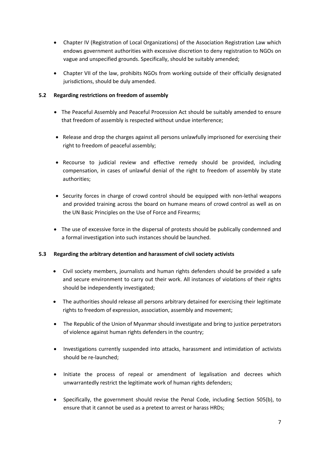- Chapter IV (Registration of Local Organizations) of the Association Registration Law which endows government authorities with excessive discretion to deny registration to NGOs on vague and unspecified grounds. Specifically, should be suitably amended;
- Chapter VII of the law, prohibits NGOs from working outside of their officially designated jurisdictions, should be duly amended.

### **5.2 Regarding restrictions on freedom of assembly**

- The Peaceful Assembly and Peaceful Procession Act should be suitably amended to ensure that freedom of assembly is respected without undue interference;
- Release and drop the charges against all persons unlawfully imprisoned for exercising their right to freedom of peaceful assembly;
- Recourse to judicial review and effective remedy should be provided, including compensation, in cases of unlawful denial of the right to freedom of assembly by state authorities;
- Security forces in charge of crowd control should be equipped with non-lethal weapons and provided training across the board on humane means of crowd control as well as on the UN Basic Principles on the Use of Force and Firearms;
- The use of excessive force in the dispersal of protests should be publically condemned and a formal investigation into such instances should be launched.

#### **5.3 Regarding the arbitrary detention and harassment of civil society activists**

- Civil society members, journalists and human rights defenders should be provided a safe and secure environment to carry out their work. All instances of violations of their rights should be independently investigated;
- The authorities should release all persons arbitrary detained for exercising their legitimate rights to freedom of expression, association, assembly and movement;
- The Republic of the Union of Myanmar should investigate and bring to justice perpetrators of violence against human rights defenders in the country;
- Investigations currently suspended into attacks, harassment and intimidation of activists should be re-launched;
- Initiate the process of repeal or amendment of legalisation and decrees which unwarrantedly restrict the legitimate work of human rights defenders;
- Specifically, the government should revise the Penal Code, including Section 505(b), to ensure that it cannot be used as a pretext to arrest or harass HRDs;